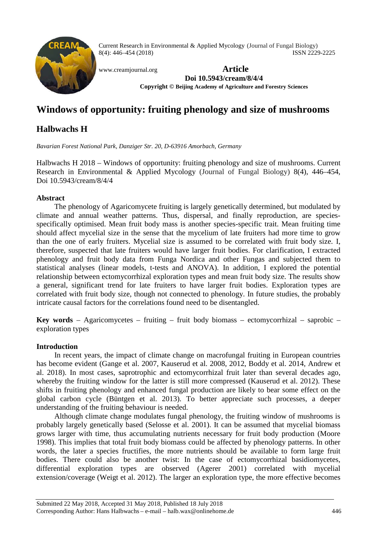

Current Research in Environmental & Applied Mycology (Journal of Fungal Biology) 8(4): 446–454 (2018) ISSN 2229-2225

[www.creamjournal.org](http://www.creamjournal.org/) **Article**

**Doi 10.5943/cream/8/4/4 Copyright © Beijing Academy of Agriculture and Forestry Sciences**

# **Windows of opportunity: fruiting phenology and size of mushrooms**

# **Halbwachs H**

*Bavarian Forest National Park, Danziger Str. 20, D-63916 Amorbach, Germany*

Halbwachs H 2018 – Windows of opportunity: fruiting phenology and size of mushrooms. Current Research in Environmental & Applied Mycology (Journal of Fungal Biology) 8(4), 446–454, Doi 10.5943/cream/8/4/4

### **Abstract**

The phenology of Agaricomycete fruiting is largely genetically determined, but modulated by climate and annual weather patterns. Thus, dispersal, and finally reproduction, are speciesspecifically optimised. Mean fruit body mass is another species-specific trait. Mean fruiting time should affect mycelial size in the sense that the mycelium of late fruiters had more time to grow than the one of early fruiters. Mycelial size is assumed to be correlated with fruit body size. I, therefore, suspected that late fruiters would have larger fruit bodies. For clarification, I extracted phenology and fruit body data from Funga Nordica and other Fungas and subjected them to statistical analyses (linear models, t-tests and ANOVA). In addition, I explored the potential relationship between ectomycorrhizal exploration types and mean fruit body size. The results show a general, significant trend for late fruiters to have larger fruit bodies. Exploration types are correlated with fruit body size, though not connected to phenology. In future studies, the probably intricate causal factors for the correlations found need to be disentangled.

**Key words** – Agaricomycetes – fruiting – fruit body biomass – ectomycorrhizal – saprobic – exploration types

## **Introduction**

In recent years, the impact of climate change on macrofungal fruiting in European countries has become evident (Gange et al. 2007, Kauserud et al. 2008, 2012, Boddy et al. 2014, Andrew et al. 2018). In most cases, saprotrophic and ectomycorrhizal fruit later than several decades ago, whereby the fruiting window for the latter is still more compressed (Kauserud et al. 2012). These shifts in fruiting phenology and enhanced fungal production are likely to bear some effect on the global carbon cycle (Büntgen et al. 2013). To better appreciate such processes, a deeper understanding of the fruiting behaviour is needed.

Although climate change modulates fungal phenology, the fruiting window of mushrooms is probably largely genetically based (Selosse et al. 2001). It can be assumed that mycelial biomass grows larger with time, thus accumulating nutrients necessary for fruit body production (Moore 1998). This implies that total fruit body biomass could be affected by phenology patterns. In other words, the later a species fructifies, the more nutrients should be available to form large fruit bodies. There could also be another twist: In the case of ectomycorrhizal basidiomycetes, differential exploration types are observed (Agerer 2001) correlated with mycelial extension/coverage (Weigt et al. 2012). The larger an exploration type, the more effective becomes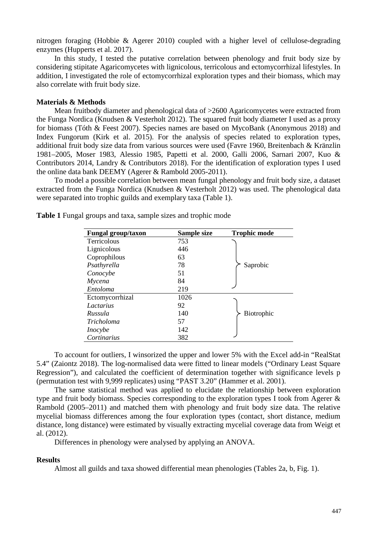nitrogen foraging (Hobbie & Agerer 2010) coupled with a higher level of cellulose-degrading enzymes (Hupperts et al. 2017).

In this study, I tested the putative correlation between phenology and fruit body size by considering stipitate Agaricomycetes with lignicolous, terricolous and ectomycorrhizal lifestyles. In addition, I investigated the role of ectomycorrhizal exploration types and their biomass, which may also correlate with fruit body size.

#### **Materials & Methods**

Mean fruitbody diameter and phenological data of >2600 Agaricomycetes were extracted from the Funga Nordica (Knudsen & Vesterholt 2012). The squared fruit body diameter I used as a proxy for biomass (Tóth & Feest 2007). Species names are based on MycoBank (Anonymous 2018) and Index Fungorum (Kirk et al. 2015). For the analysis of species related to exploration types, additional fruit body size data from various sources were used (Favre 1960, Breitenbach & Kränzlin 1981–2005, Moser 1983, Alessio 1985, Papetti et al. 2000, Galli 2006, Sarnari 2007, Kuo & Contributors 2014, Landry & Contributors 2018). For the identification of exploration types I used the online data bank DEEMY (Agerer & Rambold 2005-2011).

To model a possible correlation between mean fungal phenology and fruit body size, a dataset extracted from the Funga Nordica (Knudsen & Vesterholt 2012) was used. The phenological data were separated into trophic guilds and exemplary taxa (Table 1).

| <b>Fungal group/taxon</b> | Sample size | <b>Trophic mode</b> |
|---------------------------|-------------|---------------------|
| <b>Terricolous</b>        | 753         |                     |
| Lignicolous               | 446         |                     |
| Coprophilous              | 63          |                     |
| Psathyrella               | 78          | Saprobic            |
| Conocybe                  | 51          |                     |
| Mycena                    | 84          |                     |
| Entoloma                  | 219         |                     |
| Ectomycorrhizal           | 1026        |                     |
| Lactarius                 | 92          |                     |
| Russula                   | 140         | Biotrophic          |
| Tricholoma                | 57          |                     |
| <i>Inocybe</i>            | 142         |                     |
| Cortinarius               | 382         |                     |

**Table 1** Fungal groups and taxa, sample sizes and trophic mode

To account for outliers, I winsorized the upper and lower 5% with the Excel add-in "RealStat 5.4" (Zaiontz 2018). The log-normalised data were fitted to linear models ("Ordinary Least Square Regression"), and calculated the coefficient of determination together with significance levels p (permutation test with 9,999 replicates) using "PAST 3.20" (Hammer et al. 2001).

The same statistical method was applied to elucidate the relationship between exploration type and fruit body biomass. Species corresponding to the exploration types I took from Agerer  $\&$ Rambold (2005–2011) and matched them with phenology and fruit body size data. The relative mycelial biomass differences among the four exploration types (contact, short distance, medium distance, long distance) were estimated by visually extracting mycelial coverage data from Weigt et al. (2012).

Differences in phenology were analysed by applying an ANOVA.

#### **Results**

Almost all guilds and taxa showed differential mean phenologies (Tables 2a, b, Fig. 1).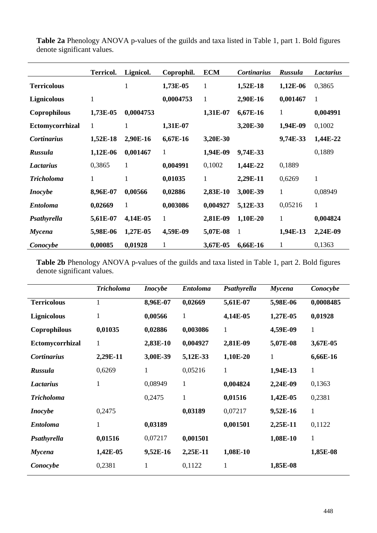|                    | <b>Terricol.</b> | Lignicol.    | Coprophil.   | <b>ECM</b>   | <b>Cortinarius</b> | Russula  | Lactarius    |
|--------------------|------------------|--------------|--------------|--------------|--------------------|----------|--------------|
| <b>Terricolous</b> |                  | 1            | 1,73E-05     | $\mathbf{1}$ | 1,52E-18           | 1,12E-06 | 0,3865       |
| Lignicolous        | $\mathbf{1}$     |              | 0,0004753    | $\mathbf{1}$ | 2,90E-16           | 0,001467 | 1            |
| Coprophilous       | 1,73E-05         | 0,0004753    |              | 1,31E-07     | 6,67E-16           | 1        | 0,004991     |
| Ectomycorrhizal    | 1                | 1            | 1,31E-07     |              | 3,20E-30           | 1,94E-09 | 0,1002       |
| <b>Cortinarius</b> | 1,52E-18         | 2,90E-16     | 6,67E-16     | 3,20E-30     |                    | 9,74E-33 | 1,44E-22     |
| Russula            | 1,12E-06         | 0,001467     | 1            | 1,94E-09     | 9,74E-33           |          | 0,1889       |
| <b>Lactarius</b>   | 0,3865           | $\mathbf{1}$ | 0,004991     | 0,1002       | 1,44E-22           | 0,1889   |              |
| <b>Tricholoma</b>  | 1                | $\mathbf{1}$ | 0,01035      | 1            | 2,29E-11           | 0,6269   | $\mathbf{1}$ |
| <i>Inocybe</i>     | 8,96E-07         | 0,00566      | 0,02886      | 2,83E-10     | 3,00E-39           | 1        | 0,08949      |
| <b>Entoloma</b>    | 0,02669          | 1            | 0,003086     | 0,004927     | 5,12E-33           | 0,05216  | 1            |
| Psathyrella        | 5,61E-07         | 4,14E-05     | $\mathbf{1}$ | 2,81E-09     | 1,10E-20           | 1        | 0,004824     |
| <b>Mycena</b>      | 5,98E-06         | 1,27E-05     | 4,59E-09     | 5,07E-08     | 1                  | 1,94E-13 | 2,24E-09     |
| Conocybe           | 0,00085          | 0,01928      | 1            | 3,67E-05     | 6,66E-16           | 1        | 0,1363       |

**Table 2a** Phenology ANOVA p-values of the guilds and taxa listed in Table 1, part 1. Bold figures denote significant values.

**Table 2b** Phenology ANOVA p-values of the guilds and taxa listed in Table 1, part 2. Bold figures denote significant values.

|                    | <b>Tricholoma</b> | <b>Inocybe</b> | <b>Entoloma</b> | Psathyrella | <b>Mycena</b> | Conocybe     |
|--------------------|-------------------|----------------|-----------------|-------------|---------------|--------------|
| <b>Terricolous</b> | 1                 | 8,96E-07       | 0,02669         | 5,61E-07    | 5,98E-06      | 0,0008485    |
| Lignicolous        | $\mathbf{1}$      | 0,00566        | $\mathbf{1}$    | 4,14E-05    | 1,27E-05      | 0,01928      |
| Coprophilous       | 0,01035           | 0,02886        | 0,003086        | 1           | 4,59E-09      | $\mathbf{1}$ |
| Ectomycorrhizal    | 1                 | 2,83E-10       | 0,004927        | 2,81E-09    | 5,07E-08      | 3,67E-05     |
| <b>Cortinarius</b> | 2,29E-11          | 3,00E-39       | 5,12E-33        | 1,10E-20    | 1             | 6,66E-16     |
| Russula            | 0,6269            | $\mathbf{1}$   | 0,05216         | 1           | 1,94E-13      | $\mathbf{1}$ |
| Lactarius          | $\mathbf{1}$      | 0,08949        | $\mathbf{1}$    | 0,004824    | 2,24E-09      | 0,1363       |
| <b>Tricholoma</b>  |                   | 0,2475         | $\mathbf{1}$    | 0,01516     | 1,42E-05      | 0,2381       |
| <i>Inocybe</i>     | 0,2475            |                | 0,03189         | 0,07217     | 9,52E-16      | $\mathbf{1}$ |
| <b>Entoloma</b>    | $\mathbf{1}$      | 0,03189        |                 | 0,001501    | 2,25E-11      | 0,1122       |
| Psathyrella        | 0,01516           | 0,07217        | 0,001501        |             | 1,08E-10      | $\mathbf{1}$ |
| Mycena             | 1,42E-05          | 9,52E-16       | 2,25E-11        | 1,08E-10    |               | 1,85E-08     |
| Conocybe           | 0,2381            | $\mathbf{1}$   | 0,1122          | 1           | 1,85E-08      |              |
|                    |                   |                |                 |             |               |              |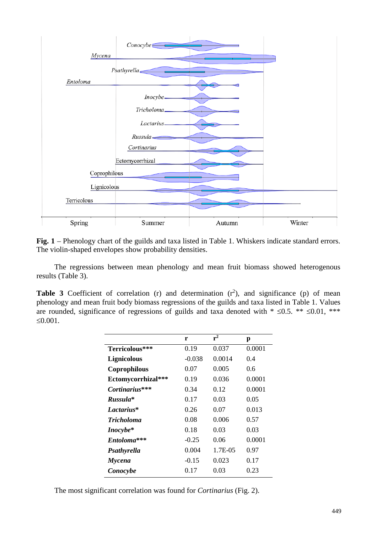

Fig. 1 – Phenology chart of the guilds and taxa listed in Table 1. Whiskers indicate standard errors. The violin-shaped envelopes show probability densities.

The regressions between mean phenology and mean fruit biomass showed heterogenous results (Table 3).

**Table 3** Coefficient of correlation (r) and determination  $(r^2)$ , and significance (p) of mean phenology and mean fruit body biomass regressions of the guilds and taxa listed in Table 1. Values are rounded, significance of regressions of guilds and taxa denoted with  $* \leq 0.5$ .  $** \leq 0.01$ ,  $***$ ≤0.001.

|                         | r        | $r^2$   | p      |
|-------------------------|----------|---------|--------|
| Terricolous***          | 0.19     | 0.037   | 0.0001 |
| <b>Lignicolous</b>      | $-0.038$ | 0.0014  | 0.4    |
| Coprophilous            | 0.07     | 0.005   | 0.6    |
| Ectomycorrhizal***      | 0.19     | 0.036   | 0.0001 |
| <i>Cortinarius</i> ***  | 0.34     | 0.12    | 0.0001 |
| Russula*                | 0.17     | 0.03    | 0.05   |
| Lactarius*              | 0.26     | 0.07    | 0.013  |
| <b>Tricholoma</b>       | 0.08     | 0.006   | 0.57   |
| Inocybe*                | 0.18     | 0.03    | 0.03   |
| Entoloma <sup>***</sup> | $-0.25$  | 0.06    | 0.0001 |
| Psathyrella             | 0.004    | 1.7E-05 | 0.97   |
| Mycena                  | $-0.15$  | 0.023   | 0.17   |
| Conocybe                | 0.17     | 0.03    | 0.23   |

The most significant correlation was found for *Cortinarius* (Fig. 2).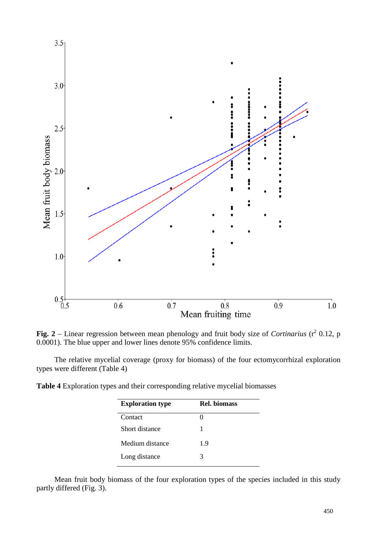

**Fig. 2** – Linear regression between mean phenology and fruit body size of *Cortinarius* ( $r^2$  0.12, p 0.0001). The blue upper and lower lines denote 95% confidence limits.

The relative mycelial coverage (proxy for biomass) of the four ectomycorrhizal exploration types were different (Table 4)

|  |  |  | Table 4 Exploration types and their corresponding relative mycelial biomasses |  |  |
|--|--|--|-------------------------------------------------------------------------------|--|--|
|--|--|--|-------------------------------------------------------------------------------|--|--|

| <b>Exploration type</b> | <b>Rel. biomass</b> |
|-------------------------|---------------------|
| Contact                 | 0                   |
| Short distance          |                     |
| Medium distance         | 1.9                 |
| Long distance           | 3                   |

Mean fruit body biomass of the four exploration types of the species included in this study partly differed (Fig. 3).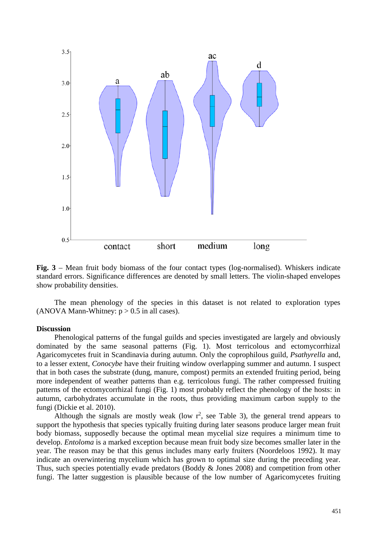

**Fig. 3** – Mean fruit body biomass of the four contact types (log-normalised). Whiskers indicate standard errors. Significance differences are denoted by small letters. The violin-shaped envelopes show probability densities.

The mean phenology of the species in this dataset is not related to exploration types (ANOVA Mann-Whitney:  $p > 0.5$  in all cases).

#### **Discussion**

Phenological patterns of the fungal guilds and species investigated are largely and obviously dominated by the same seasonal patterns (Fig. 1). Most terricolous and ectomycorrhizal Agaricomycetes fruit in Scandinavia during autumn. Only the coprophilous guild, *Psathyrella* and, to a lesser extent, *Conocybe* have their fruiting window overlapping summer and autumn. I suspect that in both cases the substrate (dung, manure, compost) permits an extended fruiting period, being more independent of weather patterns than e.g. terricolous fungi. The rather compressed fruiting patterns of the ectomycorrhizal fungi (Fig. 1) most probably reflect the phenology of the hosts: in autumn, carbohydrates accumulate in the roots, thus providing maximum carbon supply to the fungi (Dickie et al. 2010).

Although the signals are mostly weak (low  $r^2$ , see Table 3), the general trend appears to support the hypothesis that species typically fruiting during later seasons produce larger mean fruit body biomass, supposedly because the optimal mean mycelial size requires a minimum time to develop. *Entoloma* is a marked exception because mean fruit body size becomes smaller later in the year. The reason may be that this genus includes many early fruiters (Noordeloos 1992). It may indicate an overwintering mycelium which has grown to optimal size during the preceding year. Thus, such species potentially evade predators (Boddy & Jones 2008) and competition from other fungi. The latter suggestion is plausible because of the low number of Agaricomycetes fruiting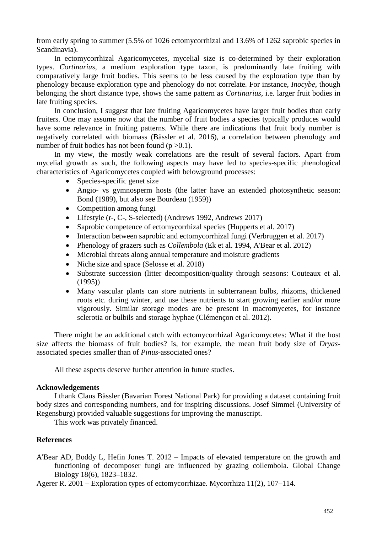from early spring to summer (5.5% of 1026 ectomycorrhizal and 13.6% of 1262 saprobic species in Scandinavia).

In ectomycorrhizal Agaricomycetes, mycelial size is co-determined by their exploration types. *Cortinarius*, a medium exploration type taxon, is predominantly late fruiting with comparatively large fruit bodies. This seems to be less caused by the exploration type than by phenology because exploration type and phenology do not correlate. For instance, *Inocybe*, though belonging the short distance type, shows the same pattern as *Cortinarius*, i.e. larger fruit bodies in late fruiting species.

In conclusion, I suggest that late fruiting Agaricomycetes have larger fruit bodies than early fruiters. One may assume now that the number of fruit bodies a species typically produces would have some relevance in fruiting patterns. While there are indications that fruit body number is negatively correlated with biomass (Bässler et al. 2016), a correlation between phenology and number of fruit bodies has not been found  $(p > 0.1)$ .

In my view, the mostly weak correlations are the result of several factors. Apart from mycelial growth as such, the following aspects may have led to species-specific phenological characteristics of Agaricomycetes coupled with belowground processes:

- Species-specific genet size
- Angio- vs gymnosperm hosts (the latter have an extended photosynthetic season: Bond (1989), but also see Bourdeau (1959))
- Competition among fungi
- Lifestyle (r-, C-, S-selected) (Andrews 1992, Andrews 2017)
- Saprobic competence of ectomycorrhizal species (Hupperts et al. 2017)
- Interaction between saprobic and ectomycorrhizal fungi (Verbruggen et al. 2017)
- Phenology of grazers such as *Collembola* (Ek et al. 1994, A'Bear et al. 2012)
- Microbial threats along annual temperature and moisture gradients
- Niche size and space (Selosse et al. 2018)
- Substrate succession (litter decomposition/quality through seasons: Couteaux et al. (1995))
- Many vascular plants can store nutrients in subterranean bulbs, rhizoms, thickened roots etc. during winter, and use these nutrients to start growing earlier and/or more vigorously. Similar storage modes are be present in macromycetes, for instance sclerotia or bulbils and storage hyphae (Clémençon et al. 2012).

There might be an additional catch with ectomycorrhizal Agaricomycetes: What if the host size affects the biomass of fruit bodies? Is, for example, the mean fruit body size of *Dryas*associated species smaller than of *Pinus*-associated ones?

All these aspects deserve further attention in future studies.

#### **Acknowledgements**

I thank Claus Bässler (Bavarian Forest National Park) for providing a dataset containing fruit body sizes and corresponding numbers, and for inspiring discussions. Josef Simmel (University of Regensburg) provided valuable suggestions for improving the manuscript.

This work was privately financed.

#### **References**

A'Bear AD, Boddy L, Hefin Jones T. 2012 – Impacts of elevated temperature on the growth and functioning of decomposer fungi are influenced by grazing collembola. Global Change Biology 18(6), 1823–1832.

Agerer R. 2001 – Exploration types of ectomycorrhizae. Mycorrhiza 11(2), 107–114.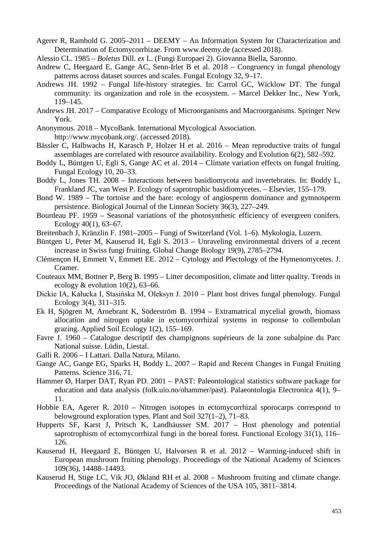- Agerer R, Rambold G. 2005–2011 DEEMY An Information System for Characterization and Determination of Ectomycorrhizae. From www.deemy.de (accessed 2018).
- Alessio CL. 1985 *Boletus* Dill. *ex* L. (Fungi Europaei 2). Giovanna Biella, Saronno.
- Andrew C, Heegaard E, Gange AC, Senn-Irlet B et al. 2018 Congruency in fungal phenology patterns across dataset sources and scales. Fungal Ecology 32, 9–17.
- Andrews JH. 1992 Fungal life-history strategies. In: Carrol GC, Wicklow DT. The fungal community: its organization and role in the ecosystem. – Marcel Dekker Inc., New York, 119–145.
- Andrews JH. 2017 Comparative Ecology of Microorganisms and Macroorganisms. Springer New York.
- Anonymous. 2018 MycoBank. International Mycological Association. http://www.mycobank.org/. (accessed 2018).
- Bässler C, Halbwachs H, Karasch P, Holzer H et al. 2016 Mean reproductive traits of fungal assemblages are correlated with resource availability. Ecology and Evolution 6(2), 582–592.
- Boddy L, Büntgen U, Egli S, Gange AC et al. 2014 Climate variation effects on fungal fruiting. Fungal Ecology 10, 20–33.
- Boddy L, Jones TH. 2008 Interactions between basidiomycota and invertebrates. In: Boddy L, Frankland JC, van West P. Ecology of saprotrophic basidiomycetes. – Elsevier, 155–179.
- Bond W. 1989 The tortoise and the hare: ecology of angiosperm dominance and gymnosperm persistence. Biological Journal of the Linnean Society 36(3), 227–249.
- Bourdeau PF. 1959 Seasonal variations of the photosynthetic efficiency of evergreen conifers. Ecology 40(1), 63–67.
- Breitenbach J, Kränzlin F. 1981–2005 Fungi of Switzerland (Vol. 1–6). Mykologia, Luzern.
- Büntgen U, Peter M, Kauserud H, Egli S. 2013 Unraveling environmental drivers of a recent increase in Swiss fungi fruiting. Global Change Biology 19(9), 2785–2794.
- Clémençon H, Emmett V, Emmett EE. 2012 Cytology and Plectology of the Hymenomycetes. J. Cramer.
- Couteaux MM, Bottner P, Berg B. 1995 Litter decomposition, climate and litter quality. Trends in ecology  $&$  evolution 10(2), 63–66.
- Dickie IA, Kałucka I, Stasińska M, Oleksyn J. 2010 Plant host drives fungal phenology. Fungal Ecology 3(4), 311–315.
- Ek H, Sjögren M, Arnebrant K, Söderström B. 1994 Extramatrical mycelial growth, biomass allocation and nitrogen uptake in ectomycorrhizal systems in response to collembolan grazing. Applied Soil Ecology 1(2), 155–169.
- Favre J. 1960 Catalogue descriptif des champignons supérieurs de la zone subalpine du Parc National suisse. Lüdin, Liestal.
- Galli R. 2006 I Lattari. Dalla Natura, Milano.
- Gange AC, Gange EG, Sparks H, Boddy L. 2007 Rapid and Recent Changes in Fungal Fruiting Patterns. Science 316, 71.
- Hammer Ø, Harper DAT, Ryan PD. 2001 PAST: Paleontological statistics software package for education and data analysis (folk.uio.no/ohammer/past). Palaeontologia Electronica 4(1), 9– 11.
- Hobbie EA, Agerer R. 2010 Nitrogen isotopes in ectomycorrhizal sporocarps correspond to belowground exploration types. Plant and Soil 327(1–2), 71–83.
- Hupperts SF, Karst J, Pritsch K, Landhäusser SM. 2017 Host phenology and potential saprotrophism of ectomycorrhizal fungi in the boreal forest. Functional Ecology 31(1), 116– 126.
- Kauserud H, Heegaard E, Büntgen U, Halvorsen R et al. 2012 Warming-induced shift in European mushroom fruiting phenology. Proceedings of the National Academy of Sciences 109(36), 14488–14493.
- Kauserud H, Stige LC, Vik JO, Økland RH et al. 2008 Mushroom fruiting and climate change. Proceedings of the National Academy of Sciences of the USA 105, 3811–3814.